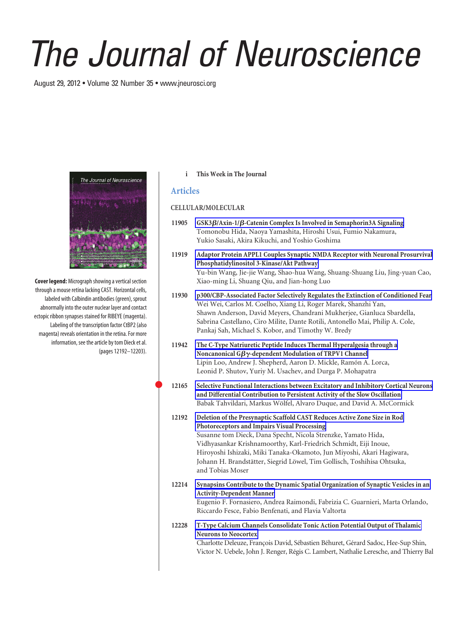# *The Journal of Neuroscience*

August 29, 2012 • Volume 32 Number 35 • www.jneurosci.org



**Cover legend:** Micrograph showing a vertical section through a mouse retina lacking CAST. Horizontal cells, labeled with Calbindin antibodies (green), sprout abnormally into the outer nuclear layer and contact ectopic ribbon synapses stained for RIBEYE (magenta). Labeling of the transcription factor CtBP2 (also magenta) reveals orientation in the retina. For more information, see the article by tom Dieck et al. (pages 12192–12203).

## **i This Week in The Journal**

# **Articles**

### **CELLULAR/MOLECULAR**

- **11905 GSK3/Axin-1/-Catenin Complex Is Involved in Semaphorin3A Signaling** Tomonobu Hida, Naoya Yamashita, Hiroshi Usui, Fumio Nakamura, Yukio Sasaki, Akira Kikuchi, and Yoshio Goshima
- **11919 Adaptor Protein APPL1 Couples Synaptic NMDA Receptor with Neuronal Prosurvival Phosphatidylinositol 3-Kinase/Akt Pathway** Yu-bin Wang, Jie-jie Wang, Shao-hua Wang, Shuang-Shuang Liu, Jing-yuan Cao, Xiao-ming Li, Shuang Qiu, and Jian-hong Luo
- **11930 p300/CBP-Associated Factor Selectively Regulates the Extinction of Conditioned Fear** Wei Wei, Carlos M. Coelho, Xiang Li, Roger Marek, Shanzhi Yan, Shawn Anderson, David Meyers, Chandrani Mukherjee, Gianluca Sbardella, Sabrina Castellano, Ciro Milite, Dante Rotili, Antonello Mai, Philip A. Cole, Pankaj Sah, Michael S. Kobor, and Timothy W. Bredy
- **11942 The C-Type Natriuretic Peptide Induces Thermal Hyperalgesia through a Noncanonical G**-**-dependent Modulation of TRPV1 Channel** Lipin Loo, Andrew J. Shepherd, Aaron D. Mickle, Ramón A. Lorca, Leonid P. Shutov, Yuriy M. Usachev, and Durga P. Mohapatra
- **12165 Selective Functional Interactions between Excitatory and Inhibitory Cortical Neurons and Differential Contribution to Persistent Activity of the Slow Oscillation** Babak Tahvildari, Markus Wölfel, Alvaro Duque, and David A. McCormick
- **12192 Deletion of the Presynaptic Scaffold CAST Reduces Active Zone Size in Rod Photoreceptors and Impairs Visual Processing** Susanne tom Dieck, Dana Specht, Nicola Strenzke, Yamato Hida, Vidhyasankar Krishnamoorthy, Karl-Friedrich Schmidt, Eiji Inoue, Hiroyoshi Ishizaki, Miki Tanaka-Okamoto, Jun Miyoshi, Akari Hagiwara, Johann H. Brandstätter, Siegrid Löwel, Tim Gollisch, Toshihisa Ohtsuka, and Tobias Moser
- **12214 Synapsins Contribute to the Dynamic Spatial Organization of Synaptic Vesicles in an Activity-Dependent Manner** Eugenio F. Fornasiero, Andrea Raimondi, Fabrizia C. Guarnieri, Marta Orlando, Riccardo Fesce, Fabio Benfenati, and Flavia Valtorta
- **12228 T-Type Calcium Channels Consolidate Tonic Action Potential Output of Thalamic Neurons to Neocortex**

Charlotte Deleuze, François David, Sébastien Béhuret, Gérard Sadoc, Hee-Sup Shin, Victor N. Uebele, John J. Renger, Régis C. Lambert, Nathalie Leresche, and Thierry Bal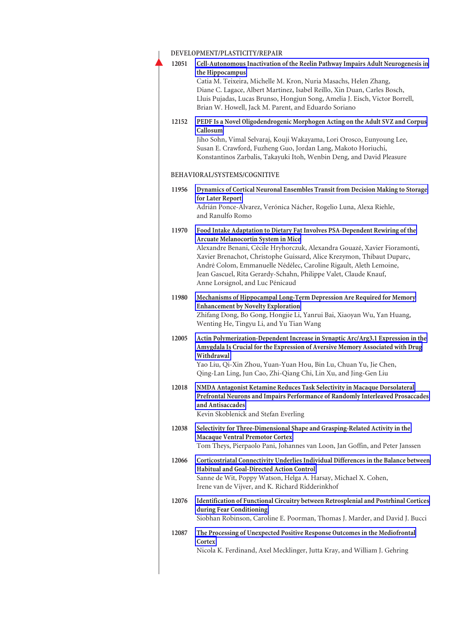# **DEVELOPMENT/PLASTICITY/REPAIR**

|       | DEVELOPMENI/PLASIICIIY/REPAIR                                                                                                                                                                                                                                                                                                                                                                                                                           |
|-------|---------------------------------------------------------------------------------------------------------------------------------------------------------------------------------------------------------------------------------------------------------------------------------------------------------------------------------------------------------------------------------------------------------------------------------------------------------|
| 12051 | Cell-Autonomous Inactivation of the Reelin Pathway Impairs Adult Neurogenesis in<br>the Hippocampus<br>Catia M. Teixeira, Michelle M. Kron, Nuria Masachs, Helen Zhang,<br>Diane C. Lagace, Albert Martinez, Isabel Reillo, Xin Duan, Carles Bosch,<br>Lluis Pujadas, Lucas Brunso, Hongjun Song, Amelia J. Eisch, Victor Borrell,<br>Brian W. Howell, Jack M. Parent, and Eduardo Soriano                                                              |
| 12152 | PEDF Is a Novel Oligodendrogenic Morphogen Acting on the Adult SVZ and Corpus<br>Callosum<br>Jiho Sohn, Vimal Selvaraj, Kouji Wakayama, Lori Orosco, Eunyoung Lee,<br>Susan E. Crawford, Fuzheng Guo, Jordan Lang, Makoto Horiuchi,<br>Konstantinos Zarbalis, Takayuki Itoh, Wenbin Deng, and David Pleasure                                                                                                                                            |
|       | BEHAVIORAL/SYSTEMS/COGNITIVE                                                                                                                                                                                                                                                                                                                                                                                                                            |
| 11956 | Dynamics of Cortical Neuronal Ensembles Transit from Decision Making to Storage<br>for Later Report<br>Adrián Ponce-Alvarez, Verónica Nácher, Rogelio Luna, Alexa Riehle,<br>and Ranulfo Romo                                                                                                                                                                                                                                                           |
| 11970 | Food Intake Adaptation to Dietary Fat Involves PSA-Dependent Rewiring of the<br>Arcuate Melanocortin System in Mice<br>Alexandre Benani, Cécile Hryhorczuk, Alexandra Gouazé, Xavier Fioramonti,<br>Xavier Brenachot, Christophe Guissard, Alice Krezymon, Thibaut Duparc,<br>André Colom, Emmanuelle Nédélec, Caroline Rigault, Aleth Lemoine,<br>Jean Gascuel, Rita Gerardy-Schahn, Philippe Valet, Claude Knauf,<br>Anne Lorsignol, and Luc Pénicaud |
| 11980 | Mechanisms of Hippocampal Long-Term Depression Are Required for Memory<br><b>Enhancement by Novelty Exploration</b><br>Zhifang Dong, Bo Gong, Hongjie Li, Yanrui Bai, Xiaoyan Wu, Yan Huang,<br>Wenting He, Tingyu Li, and Yu Tian Wang                                                                                                                                                                                                                 |
| 12005 | Actin Polymerization-Dependent Increase in Synaptic Arc/Arg3.1 Expression in the<br>Amygdala Is Crucial for the Expression of Aversive Memory Associated with Drug<br>Withdrawal<br>Yao Liu, Qi-Xin Zhou, Yuan-Yuan Hou, Bin Lu, Chuan Yu, Jie Chen,<br>Qing-Lan Ling, Jun Cao, Zhi-Qiang Chi, Lin Xu, and Jing-Gen Liu                                                                                                                                 |
| 12018 | NMDA Antagonist Ketamine Reduces Task Selectivity in Macaque Dorsolateral<br>Prefrontal Neurons and Impairs Performance of Randomly Interleaved Prosaccades<br>and Antisaccades<br>Kevin Skoblenick and Stefan Everling                                                                                                                                                                                                                                 |
| 12038 | Selectivity for Three-Dimensional Shape and Grasping-Related Activity in the<br>Macaque Ventral Premotor Cortex<br>Tom Theys, Pierpaolo Pani, Johannes van Loon, Jan Goffin, and Peter Janssen                                                                                                                                                                                                                                                          |
| 12066 | Corticostriatal Connectivity Underlies Individual Differences in the Balance between<br><b>Habitual and Goal-Directed Action Control</b><br>Sanne de Wit, Poppy Watson, Helga A. Harsay, Michael X. Cohen,<br>Irene van de Vijver, and K. Richard Ridderinkhof                                                                                                                                                                                          |
| 12076 | Identification of Functional Circuitry between Retrosplenial and Postrhinal Cortices<br>during Fear Conditioning<br>Siobhan Robinson, Caroline E. Poorman, Thomas J. Marder, and David J. Bucci                                                                                                                                                                                                                                                         |
| 12087 | The Processing of Unexpected Positive Response Outcomes in the Mediofrontal<br>Cortex<br>Nicola K. Ferdinand, Axel Mecklinger, Jutta Kray, and William J. Gehring                                                                                                                                                                                                                                                                                       |
|       |                                                                                                                                                                                                                                                                                                                                                                                                                                                         |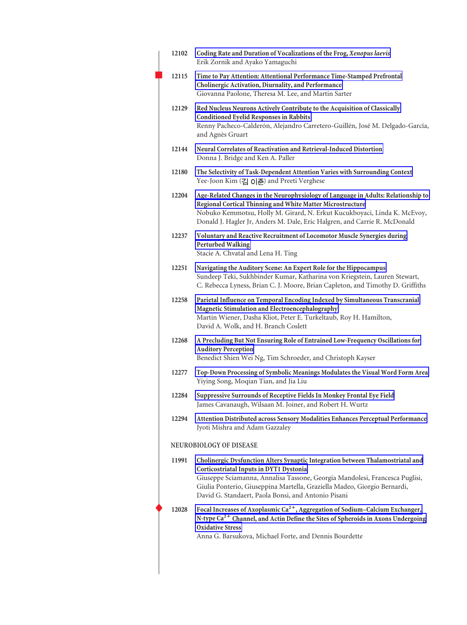| 12102                          | Coding Rate and Duration of Vocalizations of the Frog, Xenopus laevis<br>Erik Zornik and Ayako Yamaguchi                                                                                                                                                                                                                                     |  |
|--------------------------------|----------------------------------------------------------------------------------------------------------------------------------------------------------------------------------------------------------------------------------------------------------------------------------------------------------------------------------------------|--|
| 12115                          | Time to Pay Attention: Attentional Performance Time-Stamped Prefrontal<br>Cholinergic Activation, Diurnality, and Performance<br>Giovanna Paolone, Theresa M. Lee, and Martin Sarter                                                                                                                                                         |  |
| 12129                          | Red Nucleus Neurons Actively Contribute to the Acquisition of Classically<br><b>Conditioned Eyelid Responses in Rabbits</b><br>Renny Pacheco-Calderón, Alejandro Carretero-Guillén, José M. Delgado-García,<br>and Agnès Gruart                                                                                                              |  |
| 12144                          | Neural Correlates of Reactivation and Retrieval-Induced Distortion<br>Donna J. Bridge and Ken A. Paller                                                                                                                                                                                                                                      |  |
| 12180                          | The Selectivity of Task-Dependent Attention Varies with Surrounding Context<br>Yee-Joon Kim (김 이준) and Preeti Verghese                                                                                                                                                                                                                       |  |
| 12204                          | Age-Related Changes in the Neurophysiology of Language in Adults: Relationship to<br>Regional Cortical Thinning and White Matter Microstructure<br>Nobuko Kemmotsu, Holly M. Girard, N. Erkut Kucukboyaci, Linda K. McEvoy,<br>Donald J. Hagler Jr, Anders M. Dale, Eric Halgren, and Carrie R. McDonald                                     |  |
| 12237                          | Voluntary and Reactive Recruitment of Locomotor Muscle Synergies during<br><b>Perturbed Walking</b><br>Stacie A. Chvatal and Lena H. Ting                                                                                                                                                                                                    |  |
| 12251                          | Navigating the Auditory Scene: An Expert Role for the Hippocampus<br>Sundeep Teki, Sukhbinder Kumar, Katharina von Kriegstein, Lauren Stewart,<br>C. Rebecca Lyness, Brian C. J. Moore, Brian Capleton, and Timothy D. Griffiths                                                                                                             |  |
| 12258                          | Parietal Influence on Temporal Encoding Indexed by Simultaneous Transcranial<br>Magnetic Stimulation and Electroencephalography<br>Martin Wiener, Dasha Kliot, Peter E. Turkeltaub, Roy H. Hamilton,<br>David A. Wolk, and H. Branch Coslett                                                                                                 |  |
| 12268                          | A Precluding But Not Ensuring Role of Entrained Low-Frequency Oscillations for<br><b>Auditory Perception</b><br>Benedict Shien Wei Ng, Tim Schroeder, and Christoph Kayser                                                                                                                                                                   |  |
| 12277                          | Top-Down Processing of Symbolic Meanings Modulates the Visual Word Form Area<br>Yiying Song, Moqian Tian, and Jia Liu                                                                                                                                                                                                                        |  |
| 12284                          | Suppressive Surrounds of Receptive Fields In Monkey Frontal Eye Field<br>James Cavanaugh, Wilsaan M. Joiner, and Robert H. Wurtz                                                                                                                                                                                                             |  |
| 12294                          | Attention Distributed across Sensory Modalities Enhances Perceptual Performance<br>Jyoti Mishra and Adam Gazzaley                                                                                                                                                                                                                            |  |
| <b>NEUROBIOLOGY OF DISEASE</b> |                                                                                                                                                                                                                                                                                                                                              |  |
| 11991                          | Cholinergic Dysfunction Alters Synaptic Integration between Thalamostriatal and<br>Corticostriatal Inputs in DYT1 Dystonia<br>Giuseppe Sciamanna, Annalisa Tassone, Georgia Mandolesi, Francesca Puglisi,<br>Giulia Ponterio, Giuseppina Martella, Graziella Madeo, Giorgio Bernardi,<br>David G. Standaert, Paola Bonsi, and Antonio Pisani |  |
| 12028                          | Focal Increases of Axoplasmic Ca <sup>2+</sup> , Aggregation of Sodium-Calcium Exchanger,<br>N-type Ca <sup>2+</sup> Channel, and Actin Define the Sites of Spheroids in Axons Undergoing<br><b>Oxidative Stress</b><br>Anna G. Barsukova, Michael Forte, and Dennis Bourdette                                                               |  |